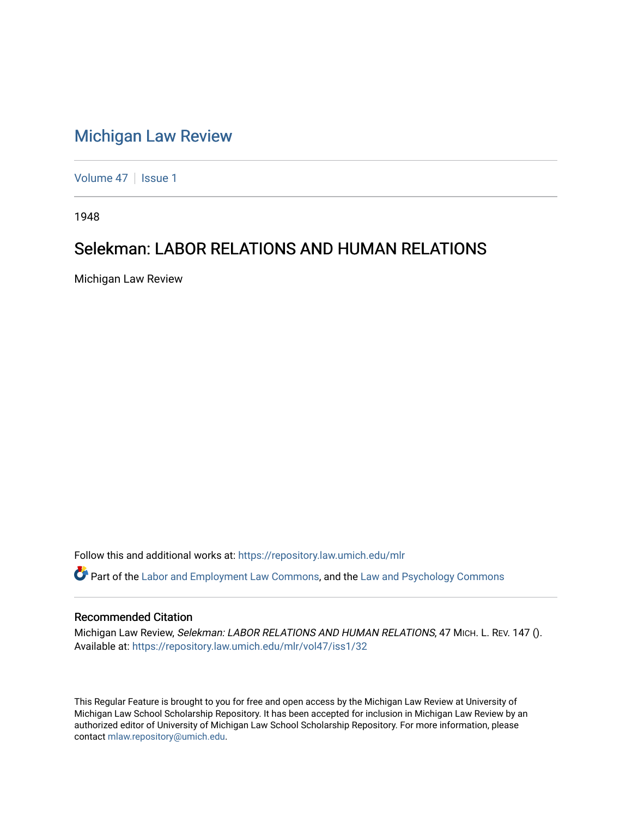## [Michigan Law Review](https://repository.law.umich.edu/mlr)

[Volume 47](https://repository.law.umich.edu/mlr/vol47) | [Issue 1](https://repository.law.umich.edu/mlr/vol47/iss1)

1948

## Selekman: LABOR RELATIONS AND HUMAN RELATIONS

Michigan Law Review

Follow this and additional works at: [https://repository.law.umich.edu/mlr](https://repository.law.umich.edu/mlr?utm_source=repository.law.umich.edu%2Fmlr%2Fvol47%2Fiss1%2F32&utm_medium=PDF&utm_campaign=PDFCoverPages) 

Part of the [Labor and Employment Law Commons](http://network.bepress.com/hgg/discipline/909?utm_source=repository.law.umich.edu%2Fmlr%2Fvol47%2Fiss1%2F32&utm_medium=PDF&utm_campaign=PDFCoverPages), and the [Law and Psychology Commons](http://network.bepress.com/hgg/discipline/870?utm_source=repository.law.umich.edu%2Fmlr%2Fvol47%2Fiss1%2F32&utm_medium=PDF&utm_campaign=PDFCoverPages) 

## Recommended Citation

Michigan Law Review, Selekman: LABOR RELATIONS AND HUMAN RELATIONS, 47 MICH. L. REV. 147 (). Available at: [https://repository.law.umich.edu/mlr/vol47/iss1/32](https://repository.law.umich.edu/mlr/vol47/iss1/32?utm_source=repository.law.umich.edu%2Fmlr%2Fvol47%2Fiss1%2F32&utm_medium=PDF&utm_campaign=PDFCoverPages) 

This Regular Feature is brought to you for free and open access by the Michigan Law Review at University of Michigan Law School Scholarship Repository. It has been accepted for inclusion in Michigan Law Review by an authorized editor of University of Michigan Law School Scholarship Repository. For more information, please contact [mlaw.repository@umich.edu](mailto:mlaw.repository@umich.edu).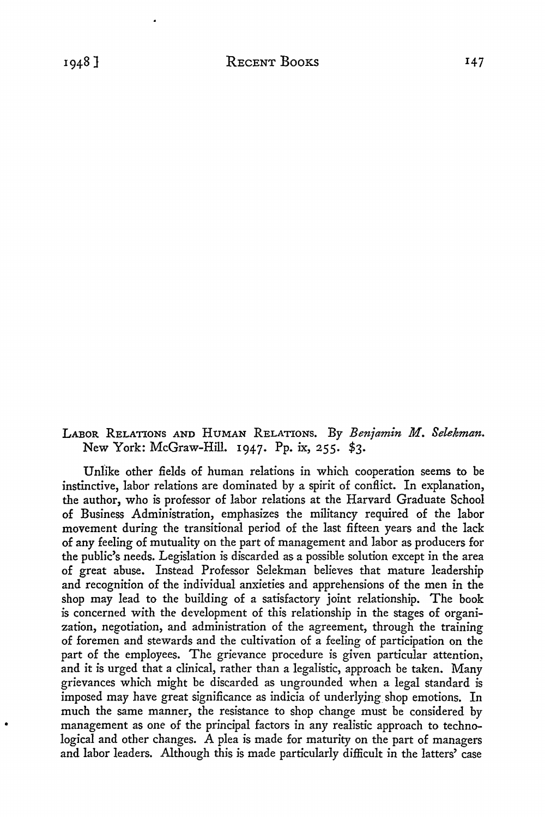LABOR RELATIONS AND HUMAN RELATIONS. By *Benjamin M. Selekman.*  New York: McGraw-Hill. 1947. Pp. ix, 255. \$3.

Unlike other fields of human relations in which cooperation seems to be instinctive, labor relations are dominated by a spirit of conflict. In explanation, the author, who is professor of labor relations at the Harvard Graduate School of Business Administration, emphasizes the militancy required of the labor movement during the transitional period of the last fifteen years and the lack of any feeling of mutuality on the part of management and labor as producers for the public's needs. Legislation is discarded as a possible solution except in the area of great abuse. Instead Professor Selekman believes that mature leadership and recognition of the individual anxieties and apprehensions of the men in the shop may lead to the building of a satisfactory joint relationship. The book is concerned with the development of this relationship in the stages of organization, negotiation, and administration of the agreement, through the training of foremen and stewards and the cultivation of a feeling of participation on the part of the employees. The grievance procedure is given particular attention, and it is urged that a clinical, rather than a legalistic, approach be taken. Many grievances which might be discarded as ungrounded when a legal standard is imposed may have great significance as indicia of underlying shop emotions. In much the same manner, the resistance to shop change must be considered by management as one of the principal factors in any realistic approach to technological and other changes. A plea is made for maturity on the part of managers and labor leaders. Although this is made particularly difficult in the latters' case